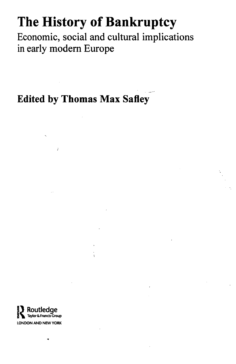## **The History of Bankruptcy**

Economic, social and cultural implications in early modern Europe

**Edited by Thomas Max Safley**

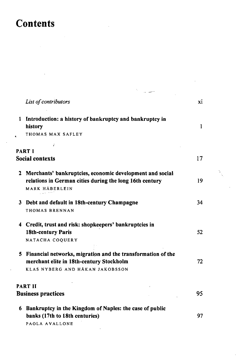## **Contents**

|                                             | List of contributors                                                                                                                         | xi           |
|---------------------------------------------|----------------------------------------------------------------------------------------------------------------------------------------------|--------------|
| 1<br>ŧ.                                     | Introduction: a history of bankruptcy and bankruptcy in<br>history<br>THOMAS MAX SAFLEY<br>ł                                                 | $\mathbf{1}$ |
|                                             | <b>PART I</b>                                                                                                                                |              |
| <b>Social contexts</b>                      |                                                                                                                                              | 17           |
|                                             | 2 Merchants' bankruptcies, economic development and social<br>relations in German cities during the long 16th century<br>MARK HÄBERLEIN      | 19           |
|                                             | 3 Debt and default in 18th-century Champagne<br>THOMAS BRENNAN                                                                               | 34           |
|                                             | 4 Credit, trust and risk: shopkeepers' bankruptcies in<br><b>18th-century Paris</b><br>NATACHA COQUERY                                       | 52           |
|                                             | 5 Financial networks, migration and the transformation of the<br>merchant elite in 18th-century Stockholm<br>KLAS NYBERG AND HÅKAN JAKOBSSON | 72           |
| <b>PART II</b><br><b>Business practices</b> |                                                                                                                                              | 95           |
| 6                                           | Bankruptcy in the Kingdom of Naples: the case of public<br>banks (17th to 18th centuries)<br>PAOLA AVALLONE                                  | 97           |

 $\bar{\gamma}$ 

j.